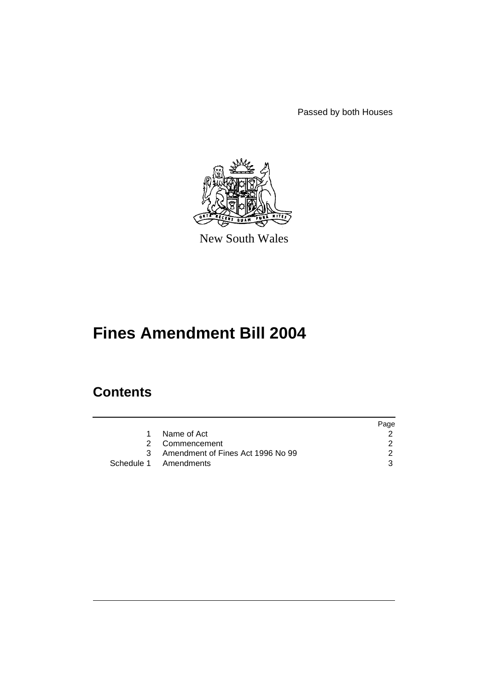Passed by both Houses



New South Wales

# **Fines Amendment Bill 2004**

# **Contents**

|                                     | Page |
|-------------------------------------|------|
| Name of Act                         |      |
| 2 Commencement                      |      |
| 3 Amendment of Fines Act 1996 No 99 |      |
| Schedule 1 Amendments               | વ    |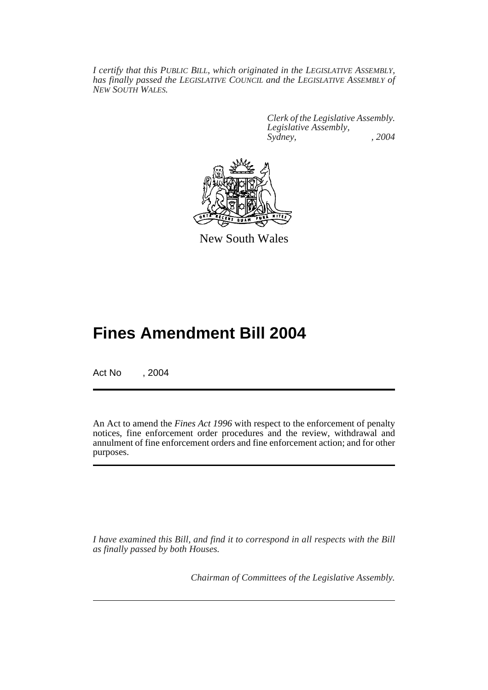*I certify that this PUBLIC BILL, which originated in the LEGISLATIVE ASSEMBLY, has finally passed the LEGISLATIVE COUNCIL and the LEGISLATIVE ASSEMBLY of NEW SOUTH WALES.*

> *Clerk of the Legislative Assembly. Legislative Assembly, Sydney, , 2004*



New South Wales

# **Fines Amendment Bill 2004**

Act No , 2004

An Act to amend the *Fines Act 1996* with respect to the enforcement of penalty notices, fine enforcement order procedures and the review, withdrawal and annulment of fine enforcement orders and fine enforcement action; and for other purposes.

*I have examined this Bill, and find it to correspond in all respects with the Bill as finally passed by both Houses.*

*Chairman of Committees of the Legislative Assembly.*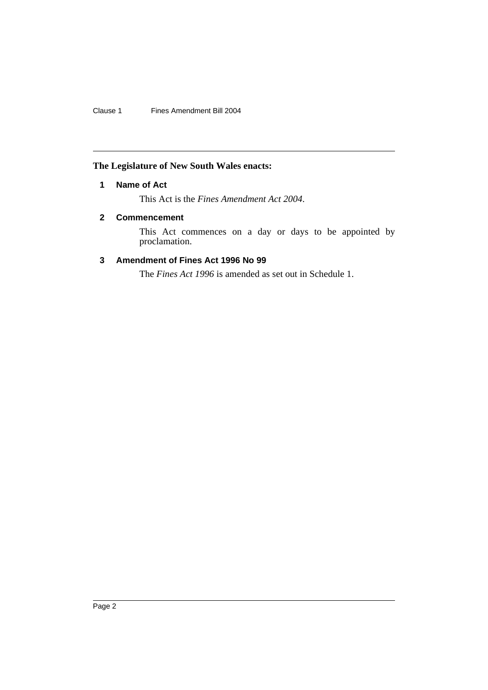Clause 1 Fines Amendment Bill 2004

# **The Legislature of New South Wales enacts:**

## **1 Name of Act**

This Act is the *Fines Amendment Act 2004*.

## **2 Commencement**

This Act commences on a day or days to be appointed by proclamation.

## **3 Amendment of Fines Act 1996 No 99**

The *Fines Act 1996* is amended as set out in Schedule 1.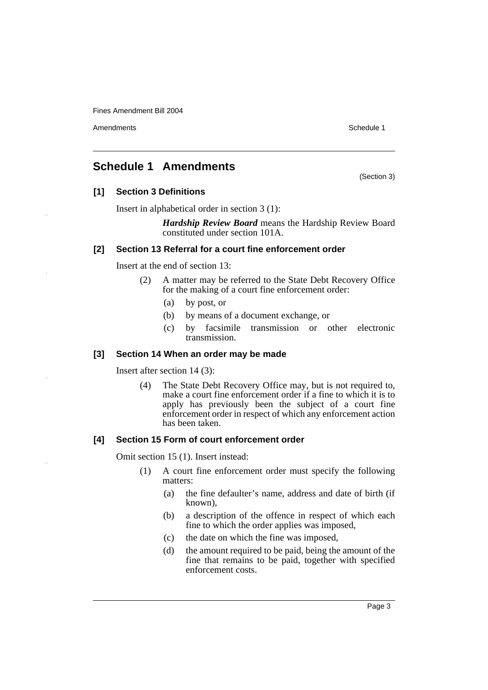Amendments **Amendments** Schedule 1

(Section 3)

# **Schedule 1 Amendments**

## **[1] Section 3 Definitions**

Insert in alphabetical order in section 3 (1):

*Hardship Review Board* means the Hardship Review Board constituted under section 101A.

## **[2] Section 13 Referral for a court fine enforcement order**

Insert at the end of section 13:

- (2) A matter may be referred to the State Debt Recovery Office for the making of a court fine enforcement order:
	- (a) by post, or
	- (b) by means of a document exchange, or
	- (c) by facsimile transmission or other electronic transmission.

## **[3] Section 14 When an order may be made**

Insert after section 14 (3):

(4) The State Debt Recovery Office may, but is not required to, make a court fine enforcement order if a fine to which it is to apply has previously been the subject of a court fine enforcement order in respect of which any enforcement action has been taken.

## **[4] Section 15 Form of court enforcement order**

Omit section 15 (1). Insert instead:

- (1) A court fine enforcement order must specify the following matters:
	- (a) the fine defaulter's name, address and date of birth (if known),
	- (b) a description of the offence in respect of which each fine to which the order applies was imposed,
	- (c) the date on which the fine was imposed,
	- (d) the amount required to be paid, being the amount of the fine that remains to be paid, together with specified enforcement costs.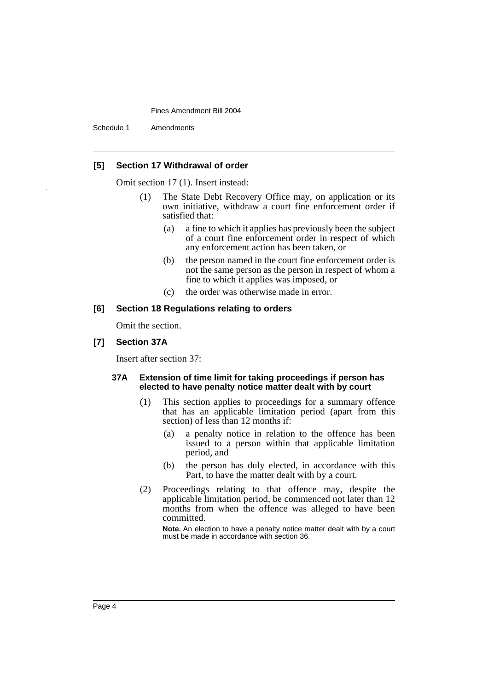Schedule 1 Amendments

## **[5] Section 17 Withdrawal of order**

Omit section 17 (1). Insert instead:

- (1) The State Debt Recovery Office may, on application or its own initiative, withdraw a court fine enforcement order if satisfied that:
	- (a) a fine to which it applies has previously been the subject of a court fine enforcement order in respect of which any enforcement action has been taken, or
	- (b) the person named in the court fine enforcement order is not the same person as the person in respect of whom a fine to which it applies was imposed, or
	- (c) the order was otherwise made in error.

#### **[6] Section 18 Regulations relating to orders**

Omit the section.

## **[7] Section 37A**

Insert after section 37:

## **37A Extension of time limit for taking proceedings if person has elected to have penalty notice matter dealt with by court**

- (1) This section applies to proceedings for a summary offence that has an applicable limitation period (apart from this section) of less than 12 months if:
	- (a) a penalty notice in relation to the offence has been issued to a person within that applicable limitation period, and
	- (b) the person has duly elected, in accordance with this Part, to have the matter dealt with by a court.
- (2) Proceedings relating to that offence may, despite the applicable limitation period, be commenced not later than 12 months from when the offence was alleged to have been committed.

**Note.** An election to have a penalty notice matter dealt with by a court must be made in accordance with section 36.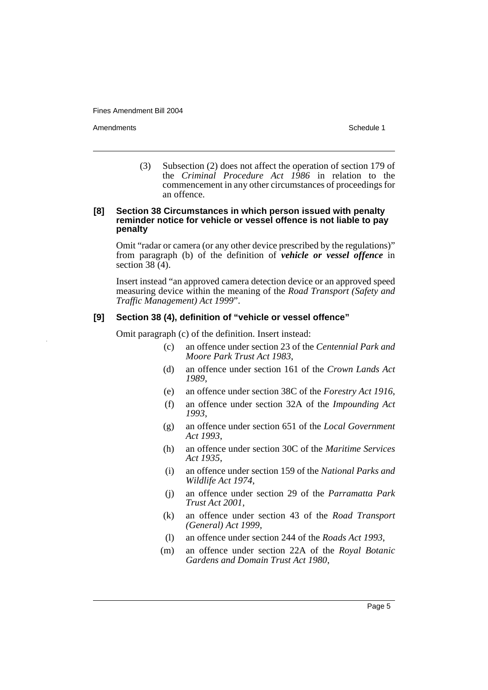Amendments **Amendments** Schedule 1

(3) Subsection (2) does not affect the operation of section 179 of the *Criminal Procedure Act 1986* in relation to the commencement in any other circumstances of proceedings for an offence.

## **[8] Section 38 Circumstances in which person issued with penalty reminder notice for vehicle or vessel offence is not liable to pay penalty**

Omit "radar or camera (or any other device prescribed by the regulations)" from paragraph (b) of the definition of *vehicle or vessel offence* in section 38 (4).

Insert instead "an approved camera detection device or an approved speed measuring device within the meaning of the *Road Transport (Safety and Traffic Management) Act 1999*".

## **[9] Section 38 (4), definition of "vehicle or vessel offence"**

Omit paragraph (c) of the definition. Insert instead:

- (c) an offence under section 23 of the *Centennial Park and Moore Park Trust Act 1983*,
- (d) an offence under section 161 of the *Crown Lands Act 1989*,
- (e) an offence under section 38C of the *Forestry Act 1916*,
- (f) an offence under section 32A of the *Impounding Act 1993*,
- (g) an offence under section 651 of the *Local Government Act 1993*,
- (h) an offence under section 30C of the *Maritime Services Act 1935*,
- (i) an offence under section 159 of the *National Parks and Wildlife Act 1974*,
- (j) an offence under section 29 of the *Parramatta Park Trust Act 2001*,
- (k) an offence under section 43 of the *Road Transport (General) Act 1999*,
- (l) an offence under section 244 of the *Roads Act 1993*,
- (m) an offence under section 22A of the *Royal Botanic Gardens and Domain Trust Act 1980*,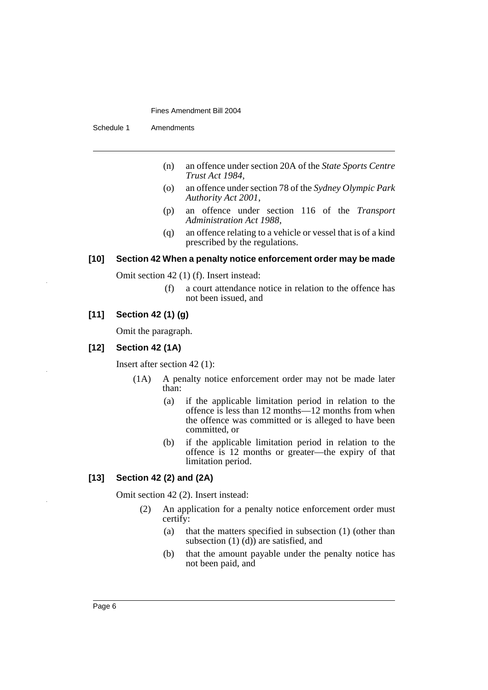Schedule 1 Amendments

- (n) an offence under section 20A of the *State Sports Centre Trust Act 1984*,
- (o) an offence under section 78 of the *Sydney Olympic Park Authority Act 2001*,
- (p) an offence under section 116 of the *Transport Administration Act 1988*,
- (q) an offence relating to a vehicle or vessel that is of a kind prescribed by the regulations.

## **[10] Section 42 When a penalty notice enforcement order may be made**

Omit section 42 (1) (f). Insert instead:

(f) a court attendance notice in relation to the offence has not been issued, and

## **[11] Section 42 (1) (g)**

Omit the paragraph.

### **[12] Section 42 (1A)**

Insert after section 42 (1):

- (1A) A penalty notice enforcement order may not be made later than:
	- (a) if the applicable limitation period in relation to the offence is less than 12 months—12 months from when the offence was committed or is alleged to have been committed, or
	- (b) if the applicable limitation period in relation to the offence is 12 months or greater—the expiry of that limitation period.

## **[13] Section 42 (2) and (2A)**

Omit section 42 (2). Insert instead:

- (2) An application for a penalty notice enforcement order must certify:
	- (a) that the matters specified in subsection (1) (other than subsection  $(1)$   $(d)$  are satisfied, and
	- (b) that the amount payable under the penalty notice has not been paid, and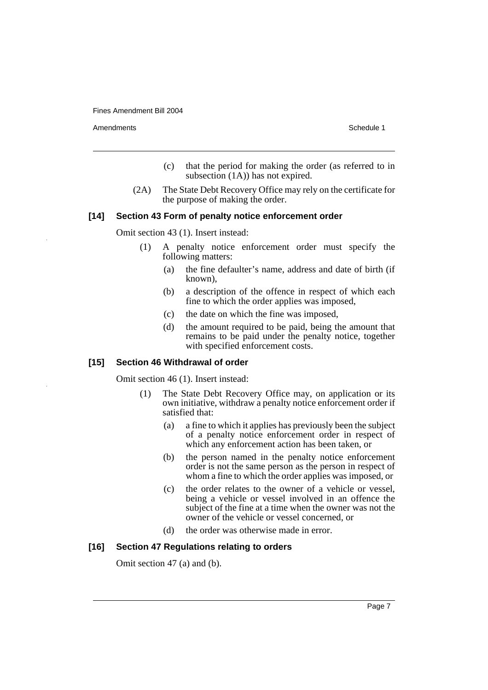Amendments **Amendments** Schedule 1

- (c) that the period for making the order (as referred to in subsection  $(1A)$  has not expired.
- (2A) The State Debt Recovery Office may rely on the certificate for the purpose of making the order.

#### **[14] Section 43 Form of penalty notice enforcement order**

Omit section 43 (1). Insert instead:

- (1) A penalty notice enforcement order must specify the following matters:
	- (a) the fine defaulter's name, address and date of birth (if known),
	- (b) a description of the offence in respect of which each fine to which the order applies was imposed,
	- (c) the date on which the fine was imposed,
	- (d) the amount required to be paid, being the amount that remains to be paid under the penalty notice, together with specified enforcement costs.

## **[15] Section 46 Withdrawal of order**

Omit section 46 (1). Insert instead:

- (1) The State Debt Recovery Office may, on application or its own initiative, withdraw a penalty notice enforcement order if satisfied that:
	- (a) a fine to which it applies has previously been the subject of a penalty notice enforcement order in respect of which any enforcement action has been taken, or
	- (b) the person named in the penalty notice enforcement order is not the same person as the person in respect of whom a fine to which the order applies was imposed, or
	- (c) the order relates to the owner of a vehicle or vessel, being a vehicle or vessel involved in an offence the subject of the fine at a time when the owner was not the owner of the vehicle or vessel concerned, or
	- (d) the order was otherwise made in error.

#### **[16] Section 47 Regulations relating to orders**

Omit section 47 (a) and (b).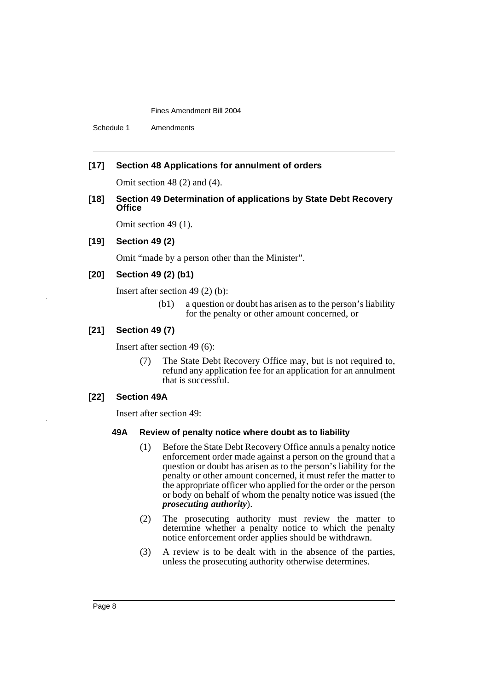Schedule 1 Amendments

## **[17] Section 48 Applications for annulment of orders**

Omit section 48 (2) and (4).

## **[18] Section 49 Determination of applications by State Debt Recovery Office**

Omit section 49 (1).

## **[19] Section 49 (2)**

Omit "made by a person other than the Minister".

## **[20] Section 49 (2) (b1)**

Insert after section 49 (2) (b):

(b1) a question or doubt has arisen as to the person's liability for the penalty or other amount concerned, or

## **[21] Section 49 (7)**

Insert after section 49 (6):

(7) The State Debt Recovery Office may, but is not required to, refund any application fee for an application for an annulment that is successful.

## **[22] Section 49A**

Insert after section 49:

## **49A Review of penalty notice where doubt as to liability**

- (1) Before the State Debt Recovery Office annuls a penalty notice enforcement order made against a person on the ground that a question or doubt has arisen as to the person's liability for the penalty or other amount concerned, it must refer the matter to the appropriate officer who applied for the order or the person or body on behalf of whom the penalty notice was issued (the *prosecuting authority*).
- (2) The prosecuting authority must review the matter to determine whether a penalty notice to which the penalty notice enforcement order applies should be withdrawn.
- (3) A review is to be dealt with in the absence of the parties, unless the prosecuting authority otherwise determines.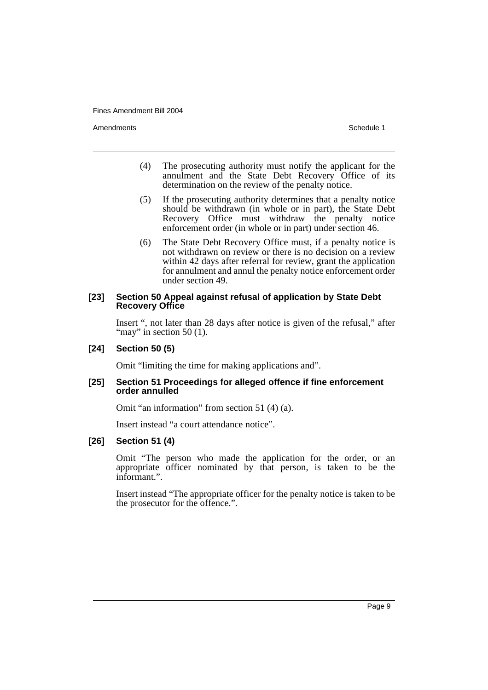Amendments **Amendments** Schedule 1

- (4) The prosecuting authority must notify the applicant for the annulment and the State Debt Recovery Office of its determination on the review of the penalty notice.
- (5) If the prosecuting authority determines that a penalty notice should be withdrawn (in whole or in part), the State Debt Recovery Office must withdraw the penalty notice enforcement order (in whole or in part) under section 46.
- (6) The State Debt Recovery Office must, if a penalty notice is not withdrawn on review or there is no decision on a review within 42 days after referral for review, grant the application for annulment and annul the penalty notice enforcement order under section 49.

## **[23] Section 50 Appeal against refusal of application by State Debt Recovery Office**

Insert ", not later than 28 days after notice is given of the refusal," after "may" in section  $50$  (1).

### **[24] Section 50 (5)**

Omit "limiting the time for making applications and".

## **[25] Section 51 Proceedings for alleged offence if fine enforcement order annulled**

Omit "an information" from section 51 (4) (a).

Insert instead "a court attendance notice".

#### **[26] Section 51 (4)**

Omit "The person who made the application for the order, or an appropriate officer nominated by that person, is taken to be the informant.".

Insert instead "The appropriate officer for the penalty notice is taken to be the prosecutor for the offence.".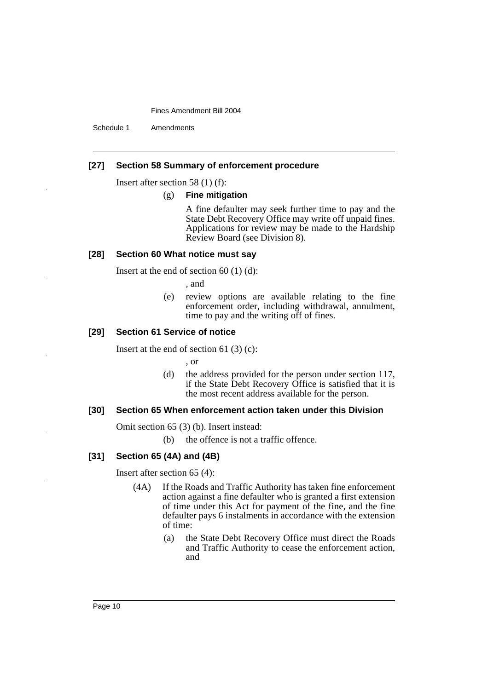Schedule 1 Amendments

## **[27] Section 58 Summary of enforcement procedure**

Insert after section 58 (1) (f):

#### (g) **Fine mitigation**

A fine defaulter may seek further time to pay and the State Debt Recovery Office may write off unpaid fines. Applications for review may be made to the Hardship Review Board (see Division 8).

## **[28] Section 60 What notice must say**

Insert at the end of section 60 (1) (d):

, and

(e) review options are available relating to the fine enforcement order, including withdrawal, annulment, time to pay and the writing off of fines.

## **[29] Section 61 Service of notice**

Insert at the end of section 61 $(3)(c)$ :

, or

(d) the address provided for the person under section 117, if the State Debt Recovery Office is satisfied that it is the most recent address available for the person.

#### **[30] Section 65 When enforcement action taken under this Division**

Omit section 65 (3) (b). Insert instead:

(b) the offence is not a traffic offence.

## **[31] Section 65 (4A) and (4B)**

Insert after section 65 (4):

- (4A) If the Roads and Traffic Authority has taken fine enforcement action against a fine defaulter who is granted a first extension of time under this Act for payment of the fine, and the fine defaulter pays 6 instalments in accordance with the extension of time:
	- (a) the State Debt Recovery Office must direct the Roads and Traffic Authority to cease the enforcement action, and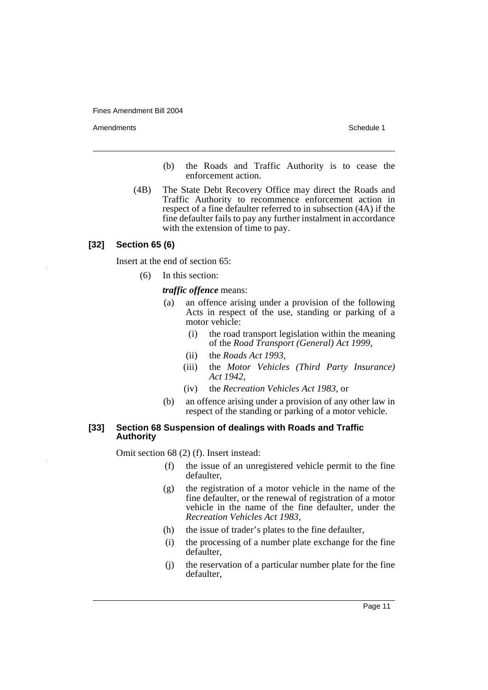Amendments **Amendments** Schedule 1

- (b) the Roads and Traffic Authority is to cease the enforcement action.
- (4B) The State Debt Recovery Office may direct the Roads and Traffic Authority to recommence enforcement action in respect of a fine defaulter referred to in subsection (4A) if the fine defaulter fails to pay any further instalment in accordance with the extension of time to pay.

## **[32] Section 65 (6)**

Insert at the end of section 65:

(6) In this section:

#### *traffic offence* means:

- (a) an offence arising under a provision of the following Acts in respect of the use, standing or parking of a motor vehicle:
	- (i) the road transport legislation within the meaning of the *Road Transport (General) Act 1999*,
	- (ii) the *Roads Act 1993*,
	- (iii) the *Motor Vehicles (Third Party Insurance) Act 1942*,
	- (iv) the *Recreation Vehicles Act 1983*, or
- (b) an offence arising under a provision of any other law in respect of the standing or parking of a motor vehicle.

## **[33] Section 68 Suspension of dealings with Roads and Traffic Authority**

Omit section 68 (2) (f). Insert instead:

- (f) the issue of an unregistered vehicle permit to the fine defaulter,
- (g) the registration of a motor vehicle in the name of the fine defaulter, or the renewal of registration of a motor vehicle in the name of the fine defaulter, under the *Recreation Vehicles Act 1983*,
- (h) the issue of trader's plates to the fine defaulter,
- (i) the processing of a number plate exchange for the fine defaulter,
- (j) the reservation of a particular number plate for the fine defaulter,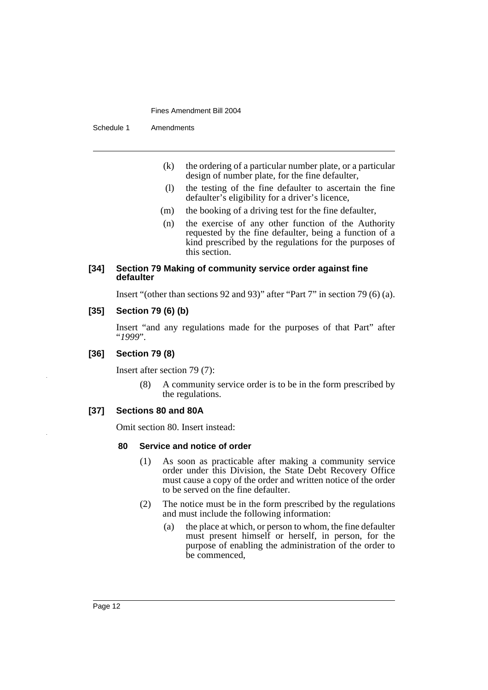Schedule 1 Amendments

- (k) the ordering of a particular number plate, or a particular design of number plate, for the fine defaulter,
- (l) the testing of the fine defaulter to ascertain the fine defaulter's eligibility for a driver's licence,
- (m) the booking of a driving test for the fine defaulter,
- (n) the exercise of any other function of the Authority requested by the fine defaulter, being a function of a kind prescribed by the regulations for the purposes of this section.

## **[34] Section 79 Making of community service order against fine defaulter**

Insert "(other than sections 92 and 93)" after "Part 7" in section 79 (6) (a).

## **[35] Section 79 (6) (b)**

Insert "and any regulations made for the purposes of that Part" after "*1999*".

## **[36] Section 79 (8)**

Insert after section 79 (7):

(8) A community service order is to be in the form prescribed by the regulations.

## **[37] Sections 80 and 80A**

Omit section 80. Insert instead:

#### **80 Service and notice of order**

- (1) As soon as practicable after making a community service order under this Division, the State Debt Recovery Office must cause a copy of the order and written notice of the order to be served on the fine defaulter.
- (2) The notice must be in the form prescribed by the regulations and must include the following information:
	- (a) the place at which, or person to whom, the fine defaulter must present himself or herself, in person, for the purpose of enabling the administration of the order to be commenced,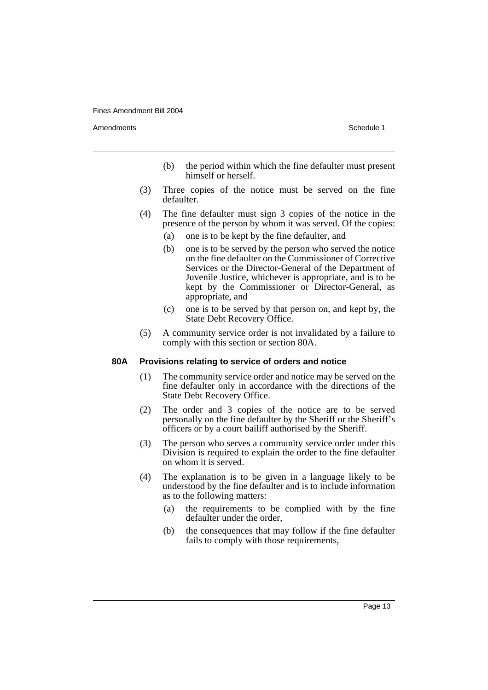Amendments **Amendments** Schedule 1

- (b) the period within which the fine defaulter must present himself or herself.
- (3) Three copies of the notice must be served on the fine defaulter.
- (4) The fine defaulter must sign 3 copies of the notice in the presence of the person by whom it was served. Of the copies:
	- (a) one is to be kept by the fine defaulter, and
	- (b) one is to be served by the person who served the notice on the fine defaulter on the Commissioner of Corrective Services or the Director-General of the Department of Juvenile Justice, whichever is appropriate, and is to be kept by the Commissioner or Director-General, as appropriate, and
	- (c) one is to be served by that person on, and kept by, the State Debt Recovery Office.
- (5) A community service order is not invalidated by a failure to comply with this section or section 80A.

#### **80A Provisions relating to service of orders and notice**

- (1) The community service order and notice may be served on the fine defaulter only in accordance with the directions of the State Debt Recovery Office.
- (2) The order and 3 copies of the notice are to be served personally on the fine defaulter by the Sheriff or the Sheriff's officers or by a court bailiff authorised by the Sheriff.
- (3) The person who serves a community service order under this Division is required to explain the order to the fine defaulter on whom it is served.
- (4) The explanation is to be given in a language likely to be understood by the fine defaulter and is to include information as to the following matters:
	- (a) the requirements to be complied with by the fine defaulter under the order,
	- (b) the consequences that may follow if the fine defaulter fails to comply with those requirements,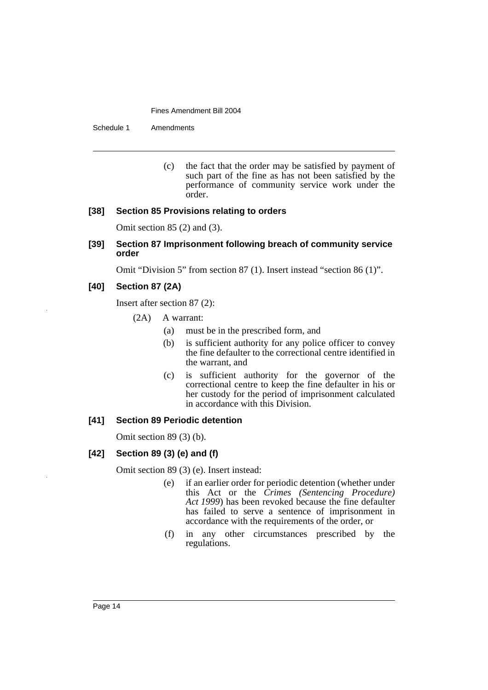Schedule 1 Amendments

(c) the fact that the order may be satisfied by payment of such part of the fine as has not been satisfied by the performance of community service work under the order.

## **[38] Section 85 Provisions relating to orders**

Omit section 85 (2) and (3).

**[39] Section 87 Imprisonment following breach of community service order**

Omit "Division 5" from section 87 (1). Insert instead "section 86 (1)".

## **[40] Section 87 (2A)**

Insert after section 87 (2):

- (2A) A warrant:
	- (a) must be in the prescribed form, and
	- (b) is sufficient authority for any police officer to convey the fine defaulter to the correctional centre identified in the warrant, and
	- (c) is sufficient authority for the governor of the correctional centre to keep the fine defaulter in his or her custody for the period of imprisonment calculated in accordance with this Division.

## **[41] Section 89 Periodic detention**

Omit section 89 (3) (b).

## **[42] Section 89 (3) (e) and (f)**

Omit section 89 (3) (e). Insert instead:

- (e) if an earlier order for periodic detention (whether under this Act or the *Crimes (Sentencing Procedure) Act 1999*) has been revoked because the fine defaulter has failed to serve a sentence of imprisonment in accordance with the requirements of the order, or
- (f) in any other circumstances prescribed by the regulations.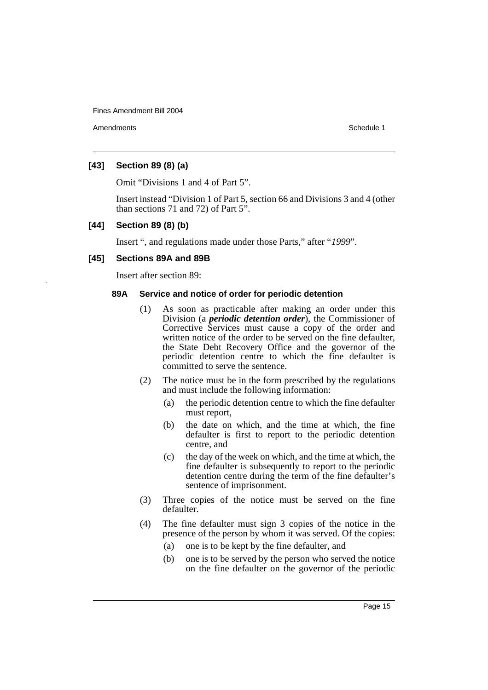Amendments **Amendments** Schedule 1

## **[43] Section 89 (8) (a)**

Omit "Divisions 1 and 4 of Part 5".

Insert instead "Division 1 of Part 5, section 66 and Divisions 3 and 4 (other than sections 71 and 72) of Part 5".

## **[44] Section 89 (8) (b)**

Insert ", and regulations made under those Parts," after "*1999*".

## **[45] Sections 89A and 89B**

Insert after section 89:

## **89A Service and notice of order for periodic detention**

- (1) As soon as practicable after making an order under this Division (a *periodic detention order*), the Commissioner of Corrective Services must cause a copy of the order and written notice of the order to be served on the fine defaulter, the State Debt Recovery Office and the governor of the periodic detention centre to which the fine defaulter is committed to serve the sentence.
- (2) The notice must be in the form prescribed by the regulations and must include the following information:
	- (a) the periodic detention centre to which the fine defaulter must report,
	- (b) the date on which, and the time at which, the fine defaulter is first to report to the periodic detention centre, and
	- (c) the day of the week on which, and the time at which, the fine defaulter is subsequently to report to the periodic detention centre during the term of the fine defaulter's sentence of imprisonment.
- (3) Three copies of the notice must be served on the fine defaulter.
- (4) The fine defaulter must sign 3 copies of the notice in the presence of the person by whom it was served. Of the copies:
	- (a) one is to be kept by the fine defaulter, and
	- (b) one is to be served by the person who served the notice on the fine defaulter on the governor of the periodic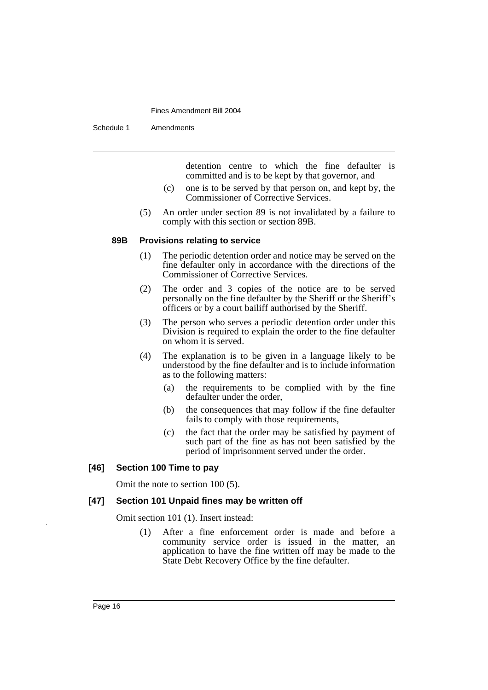Schedule 1 Amendments

detention centre to which the fine defaulter is committed and is to be kept by that governor, and

- (c) one is to be served by that person on, and kept by, the Commissioner of Corrective Services.
- (5) An order under section 89 is not invalidated by a failure to comply with this section or section 89B.

#### **89B Provisions relating to service**

- (1) The periodic detention order and notice may be served on the fine defaulter only in accordance with the directions of the Commissioner of Corrective Services.
- (2) The order and 3 copies of the notice are to be served personally on the fine defaulter by the Sheriff or the Sheriff's officers or by a court bailiff authorised by the Sheriff.
- (3) The person who serves a periodic detention order under this Division is required to explain the order to the fine defaulter on whom it is served.
- (4) The explanation is to be given in a language likely to be understood by the fine defaulter and is to include information as to the following matters:
	- (a) the requirements to be complied with by the fine defaulter under the order,
	- (b) the consequences that may follow if the fine defaulter fails to comply with those requirements,
	- (c) the fact that the order may be satisfied by payment of such part of the fine as has not been satisfied by the period of imprisonment served under the order.

### **[46] Section 100 Time to pay**

Omit the note to section 100 (5).

## **[47] Section 101 Unpaid fines may be written off**

Omit section 101 (1). Insert instead:

(1) After a fine enforcement order is made and before a community service order is issued in the matter, an application to have the fine written off may be made to the State Debt Recovery Office by the fine defaulter.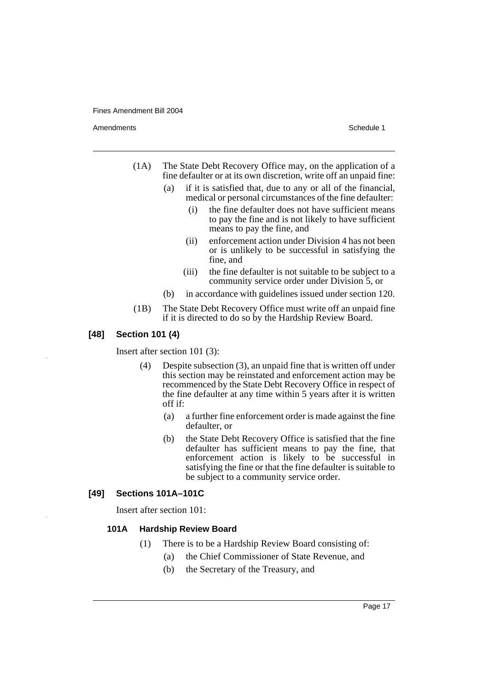Amendments **Amendments** Schedule 1

- (1A) The State Debt Recovery Office may, on the application of a fine defaulter or at its own discretion, write off an unpaid fine:
	- (a) if it is satisfied that, due to any or all of the financial, medical or personal circumstances of the fine defaulter:
		- (i) the fine defaulter does not have sufficient means to pay the fine and is not likely to have sufficient means to pay the fine, and
		- (ii) enforcement action under Division 4 has not been or is unlikely to be successful in satisfying the fine, and
		- (iii) the fine defaulter is not suitable to be subject to a community service order under Division 5, or
	- (b) in accordance with guidelines issued under section 120.
- (1B) The State Debt Recovery Office must write off an unpaid fine if it is directed to do so by the Hardship Review Board.

## **[48] Section 101 (4)**

Insert after section 101 (3):

- (4) Despite subsection (3), an unpaid fine that is written off under this section may be reinstated and enforcement action may be recommenced by the State Debt Recovery Office in respect of the fine defaulter at any time within 5 years after it is written off if:
	- (a) a further fine enforcement order is made against the fine defaulter, or
	- (b) the State Debt Recovery Office is satisfied that the fine defaulter has sufficient means to pay the fine, that enforcement action is likely to be successful in satisfying the fine or that the fine defaulter is suitable to be subject to a community service order.

## **[49] Sections 101A–101C**

Insert after section 101:

## **101A Hardship Review Board**

- (1) There is to be a Hardship Review Board consisting of:
	- (a) the Chief Commissioner of State Revenue, and
	- (b) the Secretary of the Treasury, and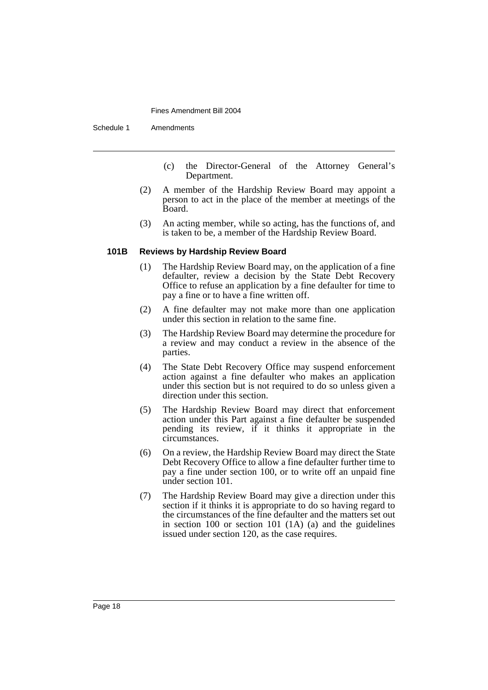Schedule 1 Amendments

- (c) the Director-General of the Attorney General's Department.
- (2) A member of the Hardship Review Board may appoint a person to act in the place of the member at meetings of the Board.
- (3) An acting member, while so acting, has the functions of, and is taken to be, a member of the Hardship Review Board.

#### **101B Reviews by Hardship Review Board**

- (1) The Hardship Review Board may, on the application of a fine defaulter, review a decision by the State Debt Recovery Office to refuse an application by a fine defaulter for time to pay a fine or to have a fine written off.
- (2) A fine defaulter may not make more than one application under this section in relation to the same fine.
- (3) The Hardship Review Board may determine the procedure for a review and may conduct a review in the absence of the parties.
- (4) The State Debt Recovery Office may suspend enforcement action against a fine defaulter who makes an application under this section but is not required to do so unless given a direction under this section.
- (5) The Hardship Review Board may direct that enforcement action under this Part against a fine defaulter be suspended pending its review, if it thinks it appropriate in the circumstances.
- (6) On a review, the Hardship Review Board may direct the State Debt Recovery Office to allow a fine defaulter further time to pay a fine under section 100, or to write off an unpaid fine under section 101.
- (7) The Hardship Review Board may give a direction under this section if it thinks it is appropriate to do so having regard to the circumstances of the fine defaulter and the matters set out in section 100 or section 101 (1A) (a) and the guidelines issued under section 120, as the case requires.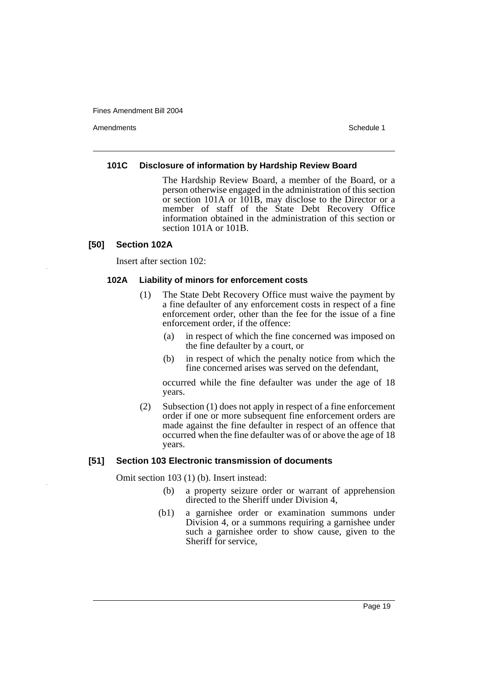Amendments **Amendments** Schedule 1

#### **101C Disclosure of information by Hardship Review Board**

The Hardship Review Board, a member of the Board, or a person otherwise engaged in the administration of this section or section 101A or 101B, may disclose to the Director or a member of staff of the State Debt Recovery Office information obtained in the administration of this section or section 101A or 101B.

## **[50] Section 102A**

Insert after section 102:

### **102A Liability of minors for enforcement costs**

- (1) The State Debt Recovery Office must waive the payment by a fine defaulter of any enforcement costs in respect of a fine enforcement order, other than the fee for the issue of a fine enforcement order, if the offence:
	- (a) in respect of which the fine concerned was imposed on the fine defaulter by a court, or
	- (b) in respect of which the penalty notice from which the fine concerned arises was served on the defendant,

occurred while the fine defaulter was under the age of 18 years.

(2) Subsection (1) does not apply in respect of a fine enforcement order if one or more subsequent fine enforcement orders are made against the fine defaulter in respect of an offence that occurred when the fine defaulter was of or above the age of 18 years.

### **[51] Section 103 Electronic transmission of documents**

Omit section 103 (1) (b). Insert instead:

- (b) a property seizure order or warrant of apprehension directed to the Sheriff under Division 4,
- (b1) a garnishee order or examination summons under Division 4, or a summons requiring a garnishee under such a garnishee order to show cause, given to the Sheriff for service,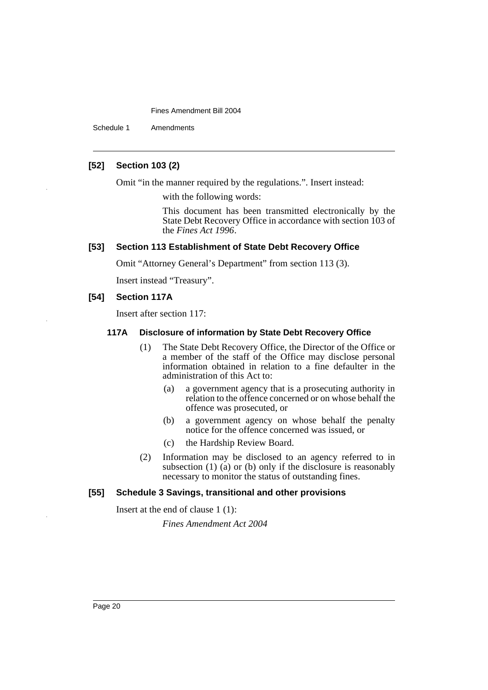Schedule 1 Amendments

## **[52] Section 103 (2)**

Omit "in the manner required by the regulations.". Insert instead:

with the following words:

This document has been transmitted electronically by the State Debt Recovery Office in accordance with section 103 of the *Fines Act 1996*.

## **[53] Section 113 Establishment of State Debt Recovery Office**

Omit "Attorney General's Department" from section 113 (3).

Insert instead "Treasury".

#### **[54] Section 117A**

Insert after section 117:

## **117A Disclosure of information by State Debt Recovery Office**

- (1) The State Debt Recovery Office, the Director of the Office or a member of the staff of the Office may disclose personal information obtained in relation to a fine defaulter in the administration of this Act to:
	- (a) a government agency that is a prosecuting authority in relation to the offence concerned or on whose behalf the offence was prosecuted, or
	- (b) a government agency on whose behalf the penalty notice for the offence concerned was issued, or
	- (c) the Hardship Review Board.
- (2) Information may be disclosed to an agency referred to in subsection  $(1)$   $(a)$  or  $(b)$  only if the disclosure is reasonably necessary to monitor the status of outstanding fines.

## **[55] Schedule 3 Savings, transitional and other provisions**

Insert at the end of clause 1 (1):

*Fines Amendment Act 2004*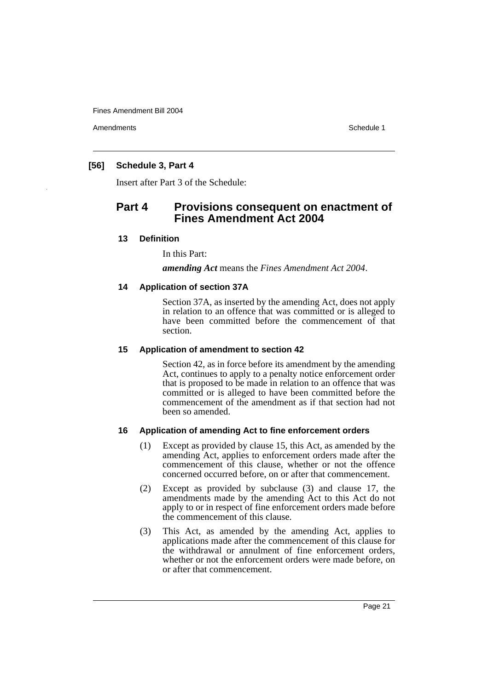Amendments **Amendments** Schedule 1

## **[56] Schedule 3, Part 4**

Insert after Part 3 of the Schedule:

# **Part 4 Provisions consequent on enactment of Fines Amendment Act 2004**

## **13 Definition**

In this Part:

*amending Act* means the *Fines Amendment Act 2004*.

## **14 Application of section 37A**

Section 37A, as inserted by the amending Act, does not apply in relation to an offence that was committed or is alleged to have been committed before the commencement of that section.

## **15 Application of amendment to section 42**

Section 42, as in force before its amendment by the amending Act, continues to apply to a penalty notice enforcement order that is proposed to be made in relation to an offence that was committed or is alleged to have been committed before the commencement of the amendment as if that section had not been so amended.

## **16 Application of amending Act to fine enforcement orders**

- (1) Except as provided by clause 15, this Act, as amended by the amending Act, applies to enforcement orders made after the commencement of this clause, whether or not the offence concerned occurred before, on or after that commencement.
- (2) Except as provided by subclause (3) and clause 17, the amendments made by the amending Act to this Act do not apply to or in respect of fine enforcement orders made before the commencement of this clause.
- (3) This Act, as amended by the amending Act, applies to applications made after the commencement of this clause for the withdrawal or annulment of fine enforcement orders, whether or not the enforcement orders were made before, on or after that commencement.